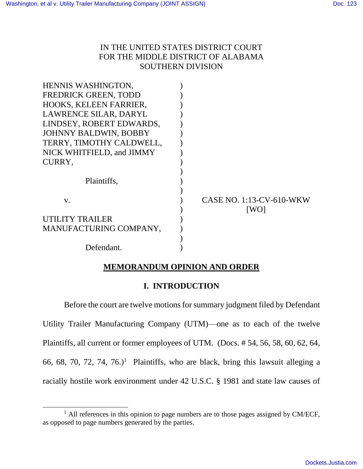# IN THE UNITED STATES DISTRICT COURT FOR THE MIDDLE DISTRICT OF ALABAMA SOUTHERN DIVISION

| HENNIS WASHINGTON,           |                                 |
|------------------------------|---------------------------------|
| <b>FREDRICK GREEN, TODD</b>  |                                 |
| HOOKS, KELEEN FARRIER,       |                                 |
| LAWRENCE SILAR, DARYL        |                                 |
| LINDSEY, ROBERT EDWARDS,     |                                 |
| <b>JOHNNY BALDWIN, BOBBY</b> |                                 |
| TERRY, TIMOTHY CALDWELL,     |                                 |
| NICK WHITFIELD, and JIMMY    |                                 |
| CURRY,                       |                                 |
|                              |                                 |
| Plaintiffs,                  |                                 |
|                              |                                 |
| V.                           | <b>CASE NO. 1:13-CV-610-WKW</b> |
|                              | [WO]                            |
| <b>UTILITY TRAILER</b>       |                                 |
| MANUFACTURING COMPANY,       |                                 |
|                              |                                 |
| Defendant.                   |                                 |

# **MEMORANDUM OPINION AND ORDER**

# **I. INTRODUCTION**

Before the court are twelve motions for summary judgment filed by Defendant Utility Trailer Manufacturing Company (UTM)––one as to each of the twelve Plaintiffs, all current or former employees of UTM. (Docs. # 54, 56, 58, 60, 62, 64, 66, 68, 70, 72, 74, 76.)<sup>1</sup> Plaintiffs, who are black, bring this lawsuit alleging a racially hostile work environment under 42 U.S.C. § 1981 and state law causes of

 $\overline{a}$ 

 $<sup>1</sup>$  All references in this opinion to page numbers are to those pages assigned by CM/ECF,</sup> as opposed to page numbers generated by the parties.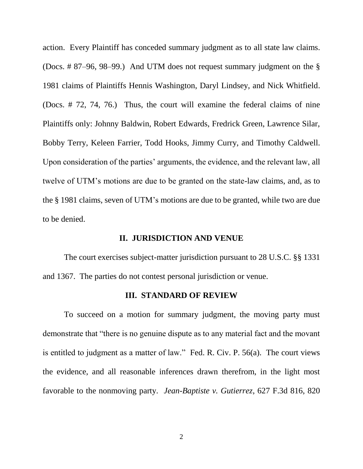action. Every Plaintiff has conceded summary judgment as to all state law claims. (Docs. # 87–96, 98–99.) And UTM does not request summary judgment on the § 1981 claims of Plaintiffs Hennis Washington, Daryl Lindsey, and Nick Whitfield. (Docs. # 72, 74, 76.) Thus, the court will examine the federal claims of nine Plaintiffs only: Johnny Baldwin, Robert Edwards, Fredrick Green, Lawrence Silar, Bobby Terry, Keleen Farrier, Todd Hooks, Jimmy Curry, and Timothy Caldwell. Upon consideration of the parties' arguments, the evidence, and the relevant law, all twelve of UTM's motions are due to be granted on the state-law claims, and, as to the § 1981 claims, seven of UTM's motions are due to be granted, while two are due to be denied.

## **II. JURISDICTION AND VENUE**

The court exercises subject-matter jurisdiction pursuant to 28 U.S.C. §§ 1331 and 1367. The parties do not contest personal jurisdiction or venue.

#### **III. STANDARD OF REVIEW**

To succeed on a motion for summary judgment, the moving party must demonstrate that "there is no genuine dispute as to any material fact and the movant is entitled to judgment as a matter of law." Fed. R. Civ. P. 56(a). The court views the evidence, and all reasonable inferences drawn therefrom, in the light most favorable to the nonmoving party. *Jean-Baptiste v. Gutierrez*, 627 F.3d 816, 820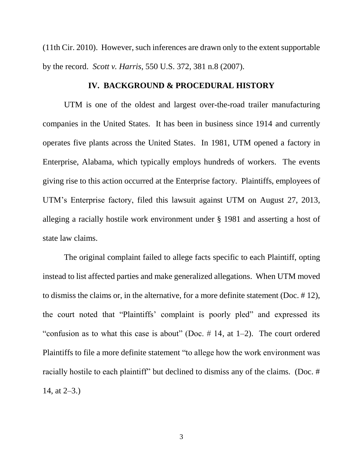(11th Cir. 2010). However, such inferences are drawn only to the extent supportable by the record. *Scott v. Harris*, 550 U.S. 372, 381 n.8 (2007).

## **IV. BACKGROUND & PROCEDURAL HISTORY**

UTM is one of the oldest and largest over-the-road trailer manufacturing companies in the United States. It has been in business since 1914 and currently operates five plants across the United States. In 1981, UTM opened a factory in Enterprise, Alabama, which typically employs hundreds of workers. The events giving rise to this action occurred at the Enterprise factory. Plaintiffs, employees of UTM's Enterprise factory, filed this lawsuit against UTM on August 27, 2013, alleging a racially hostile work environment under § 1981 and asserting a host of state law claims.

The original complaint failed to allege facts specific to each Plaintiff, opting instead to list affected parties and make generalized allegations. When UTM moved to dismiss the claims or, in the alternative, for a more definite statement (Doc. # 12), the court noted that "Plaintiffs' complaint is poorly pled" and expressed its "confusion as to what this case is about" (Doc.  $\#$  14, at 1–2). The court ordered Plaintiffs to file a more definite statement "to allege how the work environment was racially hostile to each plaintiff" but declined to dismiss any of the claims. (Doc. # 14, at 2–3.)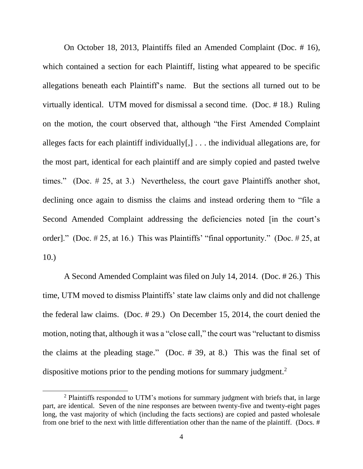On October 18, 2013, Plaintiffs filed an Amended Complaint (Doc. # 16), which contained a section for each Plaintiff, listing what appeared to be specific allegations beneath each Plaintiff's name. But the sections all turned out to be virtually identical. UTM moved for dismissal a second time. (Doc. # 18.) Ruling on the motion, the court observed that, although "the First Amended Complaint alleges facts for each plaintiff individually[,] . . . the individual allegations are, for the most part, identical for each plaintiff and are simply copied and pasted twelve times." (Doc. # 25, at 3.) Nevertheless, the court gave Plaintiffs another shot, declining once again to dismiss the claims and instead ordering them to "file a Second Amended Complaint addressing the deficiencies noted [in the court's order]." (Doc. # 25, at 16.) This was Plaintiffs' "final opportunity." (Doc. # 25, at 10.)

A Second Amended Complaint was filed on July 14, 2014. (Doc. # 26.) This time, UTM moved to dismiss Plaintiffs' state law claims only and did not challenge the federal law claims. (Doc. # 29.) On December 15, 2014, the court denied the motion, noting that, although it was a "close call," the court was "reluctant to dismiss the claims at the pleading stage." (Doc. # 39, at 8.) This was the final set of dispositive motions prior to the pending motions for summary judgment.<sup>2</sup>

 $\overline{a}$ 

<sup>&</sup>lt;sup>2</sup> Plaintiffs responded to UTM's motions for summary judgment with briefs that, in large part, are identical. Seven of the nine responses are between twenty-five and twenty-eight pages long, the vast majority of which (including the facts sections) are copied and pasted wholesale from one brief to the next with little differentiation other than the name of the plaintiff. (Docs. #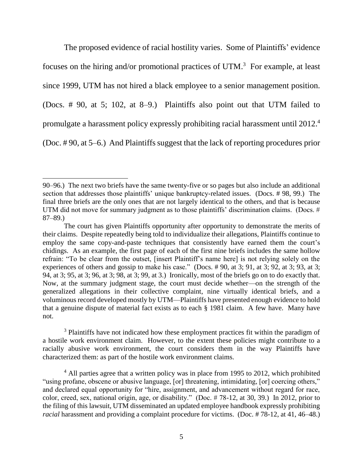The proposed evidence of racial hostility varies. Some of Plaintiffs' evidence focuses on the hiring and/or promotional practices of UTM.<sup>3</sup> For example, at least since 1999, UTM has not hired a black employee to a senior management position. (Docs. # 90, at 5; 102, at 8–9.) Plaintiffs also point out that UTM failed to promulgate a harassment policy expressly prohibiting racial harassment until 2012. 4 (Doc. # 90, at 5–6.) And Plaintiffs suggest that the lack of reporting procedures prior

 $\overline{a}$ 

<sup>3</sup> Plaintiffs have not indicated how these employment practices fit within the paradigm of a hostile work environment claim. However, to the extent these policies might contribute to a racially abusive work environment, the court considers them in the way Plaintiffs have characterized them: as part of the hostile work environment claims.

 $4$  All parties agree that a written policy was in place from 1995 to 2012, which prohibited "using profane, obscene or abusive language, [or] threatening, intimidating, [or] coercing others," and declared equal opportunity for "hire, assignment, and advancement without regard for race, color, creed, sex, national origin, age, or disability." (Doc. # 78-12, at 30, 39.) In 2012, prior to the filing of this lawsuit, UTM disseminated an updated employee handbook expressly prohibiting *racial* harassment and providing a complaint procedure for victims. (Doc. # 78-12, at 41, 46–48.)

<sup>90–96.)</sup> The next two briefs have the same twenty-five or so pages but also include an additional section that addresses those plaintiffs' unique bankruptcy-related issues. (Docs. # 98, 99.) The final three briefs are the only ones that are not largely identical to the others, and that is because UTM did not move for summary judgment as to those plaintiffs' discrimination claims. (Docs. # 87–89.)

The court has given Plaintiffs opportunity after opportunity to demonstrate the merits of their claims. Despite repeatedly being told to individualize their allegations, Plaintiffs continue to employ the same copy-and-paste techniques that consistently have earned them the court's chidings. As an example, the first page of each of the first nine briefs includes the same hollow refrain: "To be clear from the outset, [insert Plaintiff's name here] is not relying solely on the experiences of others and gossip to make his case." (Docs. # 90, at 3; 91, at 3; 92, at 3; 93, at 3; 94, at 3; 95, at 3; 96, at 3; 98, at 3; 99, at 3.) Ironically, most of the briefs go on to do exactly that. Now, at the summary judgment stage, the court must decide whether—on the strength of the generalized allegations in their collective complaint, nine virtually identical briefs, and a voluminous record developed mostly by UTM—Plaintiffs have presented enough evidence to hold that a genuine dispute of material fact exists as to each § 1981 claim. A few have. Many have not.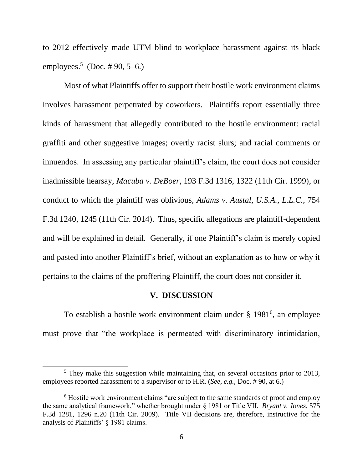to 2012 effectively made UTM blind to workplace harassment against its black employees.<sup>5</sup> (Doc. #90, 5–6.)

Most of what Plaintiffs offer to support their hostile work environment claims involves harassment perpetrated by coworkers. Plaintiffs report essentially three kinds of harassment that allegedly contributed to the hostile environment: racial graffiti and other suggestive images; overtly racist slurs; and racial comments or innuendos. In assessing any particular plaintiff's claim, the court does not consider inadmissible hearsay, *Macuba v. DeBoer*, 193 F.3d 1316, 1322 (11th Cir. 1999), or conduct to which the plaintiff was oblivious, *Adams v. Austal, U.S.A., L.L.C.*, 754 F.3d 1240, 1245 (11th Cir. 2014). Thus, specific allegations are plaintiff-dependent and will be explained in detail. Generally, if one Plaintiff's claim is merely copied and pasted into another Plaintiff's brief, without an explanation as to how or why it pertains to the claims of the proffering Plaintiff, the court does not consider it.

## **V. DISCUSSION**

To establish a hostile work environment claim under § 1981<sup>6</sup>, an employee must prove that "the workplace is permeated with discriminatory intimidation,

 $\overline{a}$ 

<sup>&</sup>lt;sup>5</sup> They make this suggestion while maintaining that, on several occasions prior to 2013, employees reported harassment to a supervisor or to H.R. (*See, e.g.,* Doc. # 90, at 6.)

<sup>&</sup>lt;sup>6</sup> Hostile work environment claims "are subject to the same standards of proof and employ the same analytical framework," whether brought under § 1981 or Title VII. *Bryant v. Jones*, 575 F.3d 1281, 1296 n.20 (11th Cir. 2009). Title VII decisions are, therefore, instructive for the analysis of Plaintiffs' § 1981 claims.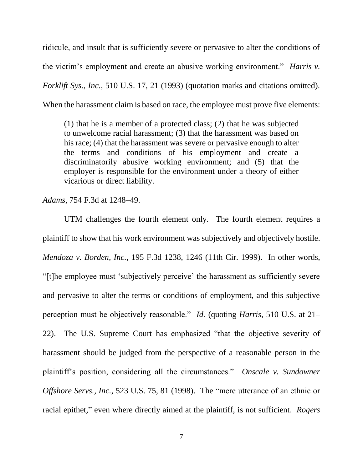ridicule, and insult that is sufficiently severe or pervasive to alter the conditions of the victim's employment and create an abusive working environment." *Harris v. Forklift Sys., Inc.*, 510 U.S. 17, 21 (1993) (quotation marks and citations omitted). When the harassment claim is based on race, the employee must prove five elements:

(1) that he is a member of a protected class; (2) that he was subjected to unwelcome racial harassment; (3) that the harassment was based on his race; (4) that the harassment was severe or pervasive enough to alter the terms and conditions of his employment and create a discriminatorily abusive working environment; and (5) that the employer is responsible for the environment under a theory of either vicarious or direct liability.

*Adams*, 754 F.3d at 1248–49.

UTM challenges the fourth element only. The fourth element requires a plaintiff to show that his work environment was subjectively and objectively hostile. *Mendoza v. Borden, Inc.*, 195 F.3d 1238, 1246 (11th Cir. 1999). In other words, "[t]he employee must 'subjectively perceive' the harassment as sufficiently severe and pervasive to alter the terms or conditions of employment, and this subjective perception must be objectively reasonable." *Id.* (quoting *Harris*, 510 U.S. at 21– 22). The U.S. Supreme Court has emphasized "that the objective severity of harassment should be judged from the perspective of a reasonable person in the plaintiff's position, considering all the circumstances." *Onscale v. Sundowner Offshore Servs., Inc.*, 523 U.S. 75, 81 (1998). The "mere utterance of an ethnic or racial epithet," even where directly aimed at the plaintiff, is not sufficient. *Rogers*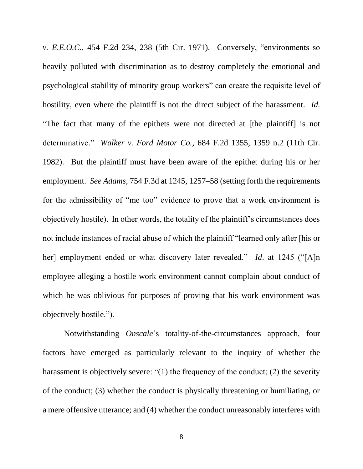*v. E.E.O.C.*, 454 F.2d 234, 238 (5th Cir. 1971). Conversely, "environments so heavily polluted with discrimination as to destroy completely the emotional and psychological stability of minority group workers" can create the requisite level of hostility, even where the plaintiff is not the direct subject of the harassment. *Id.* "The fact that many of the epithets were not directed at [the plaintiff] is not determinative." *Walker v. Ford Motor Co.*, 684 F.2d 1355, 1359 n.2 (11th Cir. 1982). But the plaintiff must have been aware of the epithet during his or her employment. *See Adams*, 754 F.3d at 1245, 1257–58 (setting forth the requirements for the admissibility of "me too" evidence to prove that a work environment is objectively hostile). In other words, the totality of the plaintiff's circumstances does not include instances of racial abuse of which the plaintiff "learned only after [his or her] employment ended or what discovery later revealed." *Id*. at 1245 ("[A]n employee alleging a hostile work environment cannot complain about conduct of which he was oblivious for purposes of proving that his work environment was objectively hostile.").

Notwithstanding *Onscale*'s totality-of-the-circumstances approach, four factors have emerged as particularly relevant to the inquiry of whether the harassment is objectively severe: "(1) the frequency of the conduct; (2) the severity of the conduct; (3) whether the conduct is physically threatening or humiliating, or a mere offensive utterance; and (4) whether the conduct unreasonably interferes with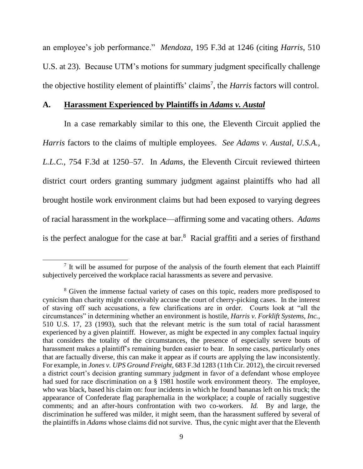an employee's job performance." *Mendoza*, 195 F.3d at 1246 (citing *Harris*, 510 U.S. at 23). Because UTM's motions for summary judgment specifically challenge the objective hostility element of plaintiffs' claims<sup>7</sup>, the *Harris* factors will control.

## **A. Harassment Experienced by Plaintiffs in** *Adams v. Austal*

In a case remarkably similar to this one, the Eleventh Circuit applied the *Harris* factors to the claims of multiple employees. *See Adams v. Austal, U.S.A., L.L.C.*, 754 F.3d at 1250–57. In *Adams*, the Eleventh Circuit reviewed thirteen district court orders granting summary judgment against plaintiffs who had all brought hostile work environment claims but had been exposed to varying degrees of racial harassment in the workplace—affirming some and vacating others. *Adams*  is the perfect analogue for the case at bar. $8$  Racial graffiti and a series of firsthand

 $\overline{a}$ 

 $<sup>7</sup>$  It will be assumed for purpose of the analysis of the fourth element that each Plaintiff</sup> subjectively perceived the workplace racial harassments as severe and pervasive.

<sup>&</sup>lt;sup>8</sup> Given the immense factual variety of cases on this topic, readers more predisposed to cynicism than charity might conceivably accuse the court of cherry-picking cases. In the interest of staving off such accusations, a few clarifications are in order. Courts look at "all the circumstances" in determining whether an environment is hostile, *Harris v. Forklift Systems, Inc.*, 510 U.S. 17, 23 (1993), such that the relevant metric is the sum total of racial harassment experienced by a given plaintiff. However, as might be expected in any complex factual inquiry that considers the totality of the circumstances, the presence of especially severe bouts of harassment makes a plaintiff's remaining burden easier to bear. In some cases, particularly ones that are factually diverse, this can make it appear as if courts are applying the law inconsistently. For example, in *Jones v. UPS Ground Freight*, 683 F.3d 1283 (11th Cir. 2012), the circuit reversed a district court's decision granting summary judgment in favor of a defendant whose employee had sued for race discrimination on a § 1981 hostile work environment theory. The employee, who was black, based his claim on: four incidents in which he found bananas left on his truck; the appearance of Confederate flag paraphernalia in the workplace; a couple of racially suggestive comments; and an after-hours confrontation with two co-workers. *Id.* By and large, the discrimination he suffered was milder, it might seem, than the harassment suffered by several of the plaintiffs in *Adams* whose claims did not survive. Thus, the cynic might aver that the Eleventh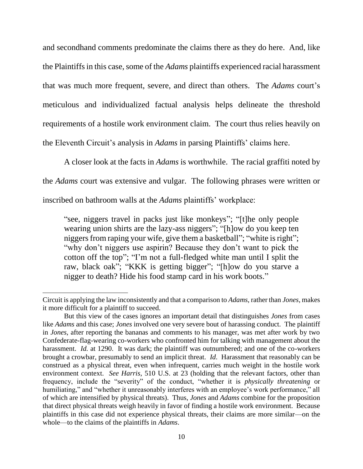and secondhand comments predominate the claims there as they do here. And, like the Plaintiffs in this case, some of the *Adams* plaintiffs experienced racial harassment that was much more frequent, severe, and direct than others. The *Adams* court's meticulous and individualized factual analysis helps delineate the threshold requirements of a hostile work environment claim. The court thus relies heavily on the Eleventh Circuit's analysis in *Adams* in parsing Plaintiffs' claims here.

A closer look at the facts in *Adams* is worthwhile. The racial graffiti noted by the *Adams* court was extensive and vulgar. The following phrases were written or inscribed on bathroom walls at the *Adams* plaintiffs' workplace:

"see, niggers travel in packs just like monkeys"; "[t]he only people wearing union shirts are the lazy-ass niggers"; "[h]ow do you keep ten niggers from raping your wife, give them a basketball"; "white is right"; "why don't niggers use aspirin? Because they don't want to pick the cotton off the top"; "I'm not a full-fledged white man until I split the raw, black oak"; "KKK is getting bigger"; "[h]ow do you starve a nigger to death? Hide his food stamp card in his work boots."

l

Circuit is applying the law inconsistently and that a comparison to *Adams*, rather than *Jones*, makes it more difficult for a plaintiff to succeed.

But this view of the cases ignores an important detail that distinguishes *Jones* from cases like *Adams* and this case; *Jones* involved one very severe bout of harassing conduct. The plaintiff in *Jones*, after reporting the bananas and comments to his manager, was met after work by two Confederate-flag-wearing co-workers who confronted him for talking with management about the harassment. *Id.* at 1290. It was dark; the plaintiff was outnumbered; and one of the co-workers brought a crowbar, presumably to send an implicit threat. *Id*. Harassment that reasonably can be construed as a physical threat, even when infrequent, carries much weight in the hostile work environment context. *See Harris*, 510 U.S. at 23 (holding that the relevant factors, other than frequency, include the "severity" of the conduct, "whether it is *physically threatening* or humiliating," and "whether it unreasonably interferes with an employee's work performance," all of which are intensified by physical threats). Thus, *Jones* and *Adams* combine for the proposition that direct physical threats weigh heavily in favor of finding a hostile work environment. Because plaintiffs in this case did not experience physical threats, their claims are more similar—on the whole—to the claims of the plaintiffs in *Adams*.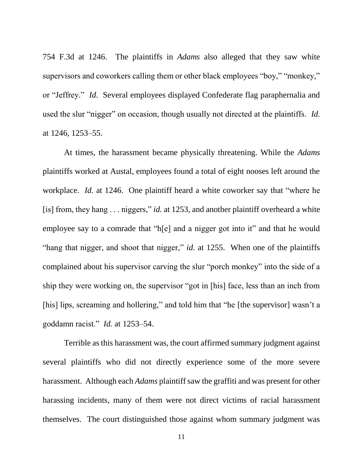754 F.3d at 1246. The plaintiffs in *Adams* also alleged that they saw white supervisors and coworkers calling them or other black employees "boy," "monkey," or "Jeffrey." *Id.* Several employees displayed Confederate flag paraphernalia and used the slur "nigger" on occasion, though usually not directed at the plaintiffs. *Id.* at 1246, 1253–55.

At times, the harassment became physically threatening. While the *Adams* plaintiffs worked at Austal, employees found a total of eight nooses left around the workplace. *Id.* at 1246. One plaintiff heard a white coworker say that "where he [is] from, they hang . . . niggers," *id.* at 1253, and another plaintiff overheard a white employee say to a comrade that "h[e] and a nigger got into it" and that he would "hang that nigger, and shoot that nigger," *id.* at 1255. When one of the plaintiffs complained about his supervisor carving the slur "porch monkey" into the side of a ship they were working on, the supervisor "got in [his] face, less than an inch from [his] lips, screaming and hollering," and told him that "he [the supervisor] wasn't a goddamn racist." *Id.* at 1253–54.

Terrible as this harassment was, the court affirmed summary judgment against several plaintiffs who did not directly experience some of the more severe harassment. Although each *Adams* plaintiff saw the graffiti and was present for other harassing incidents, many of them were not direct victims of racial harassment themselves. The court distinguished those against whom summary judgment was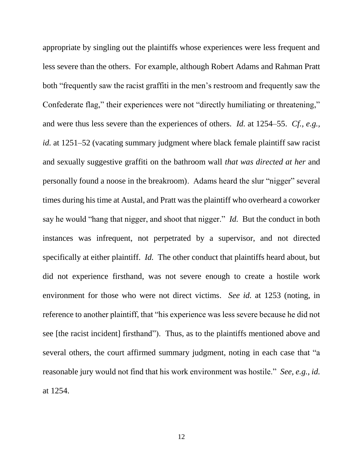appropriate by singling out the plaintiffs whose experiences were less frequent and less severe than the others. For example, although Robert Adams and Rahman Pratt both "frequently saw the racist graffiti in the men's restroom and frequently saw the Confederate flag," their experiences were not "directly humiliating or threatening," and were thus less severe than the experiences of others. *Id.* at 1254–55. *Cf., e.g., id.* at 1251–52 (vacating summary judgment where black female plaintiff saw racist and sexually suggestive graffiti on the bathroom wall *that was directed at her* and personally found a noose in the breakroom). Adams heard the slur "nigger" several times during his time at Austal, and Pratt was the plaintiff who overheard a coworker say he would "hang that nigger, and shoot that nigger." *Id.* But the conduct in both instances was infrequent, not perpetrated by a supervisor, and not directed specifically at either plaintiff. *Id.* The other conduct that plaintiffs heard about, but did not experience firsthand, was not severe enough to create a hostile work environment for those who were not direct victims. *See id.* at 1253 (noting, in reference to another plaintiff, that "his experience was less severe because he did not see [the racist incident] firsthand"). Thus, as to the plaintiffs mentioned above and several others, the court affirmed summary judgment, noting in each case that "a reasonable jury would not find that his work environment was hostile." *See, e.g., id.* at 1254.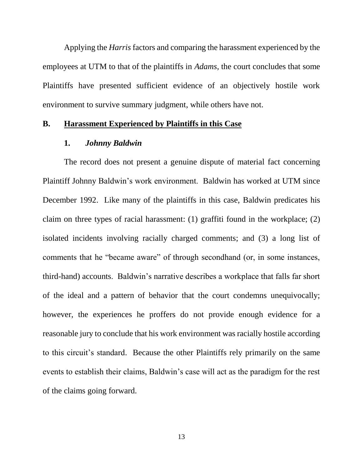Applying the *Harris* factors and comparing the harassment experienced by the employees at UTM to that of the plaintiffs in *Adams*, the court concludes that some Plaintiffs have presented sufficient evidence of an objectively hostile work environment to survive summary judgment, while others have not.

## **B. Harassment Experienced by Plaintiffs in this Case**

### **1.** *Johnny Baldwin*

The record does not present a genuine dispute of material fact concerning Plaintiff Johnny Baldwin's work environment. Baldwin has worked at UTM since December 1992. Like many of the plaintiffs in this case, Baldwin predicates his claim on three types of racial harassment: (1) graffiti found in the workplace; (2) isolated incidents involving racially charged comments; and (3) a long list of comments that he "became aware" of through secondhand (or, in some instances, third-hand) accounts. Baldwin's narrative describes a workplace that falls far short of the ideal and a pattern of behavior that the court condemns unequivocally; however, the experiences he proffers do not provide enough evidence for a reasonable jury to conclude that his work environment was racially hostile according to this circuit's standard. Because the other Plaintiffs rely primarily on the same events to establish their claims, Baldwin's case will act as the paradigm for the rest of the claims going forward.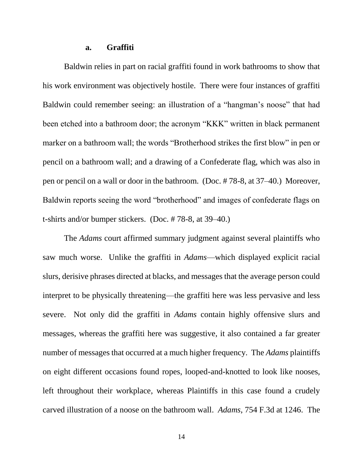### **a. Graffiti**

Baldwin relies in part on racial graffiti found in work bathrooms to show that his work environment was objectively hostile. There were four instances of graffiti Baldwin could remember seeing: an illustration of a "hangman's noose" that had been etched into a bathroom door; the acronym "KKK" written in black permanent marker on a bathroom wall; the words "Brotherhood strikes the first blow" in pen or pencil on a bathroom wall; and a drawing of a Confederate flag, which was also in pen or pencil on a wall or door in the bathroom. (Doc. # 78-8, at 37–40.) Moreover, Baldwin reports seeing the word "brotherhood" and images of confederate flags on t-shirts and/or bumper stickers. (Doc. # 78-8, at 39–40.)

The *Adams* court affirmed summary judgment against several plaintiffs who saw much worse. Unlike the graffiti in *Adams*—which displayed explicit racial slurs, derisive phrases directed at blacks, and messages that the average person could interpret to be physically threatening—the graffiti here was less pervasive and less severe. Not only did the graffiti in *Adams* contain highly offensive slurs and messages, whereas the graffiti here was suggestive, it also contained a far greater number of messages that occurred at a much higher frequency. The *Adams* plaintiffs on eight different occasions found ropes, looped-and-knotted to look like nooses, left throughout their workplace, whereas Plaintiffs in this case found a crudely carved illustration of a noose on the bathroom wall. *Adams*, 754 F.3d at 1246. The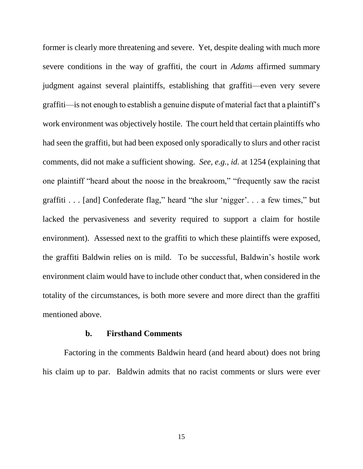former is clearly more threatening and severe. Yet, despite dealing with much more severe conditions in the way of graffiti, the court in *Adams* affirmed summary judgment against several plaintiffs, establishing that graffiti—even very severe graffiti—is not enough to establish a genuine dispute of material fact that a plaintiff's work environment was objectively hostile. The court held that certain plaintiffs who had seen the graffiti, but had been exposed only sporadically to slurs and other racist comments, did not make a sufficient showing. *See, e.g.*, *id.* at 1254 (explaining that one plaintiff "heard about the noose in the breakroom," "frequently saw the racist graffiti . . . [and] Confederate flag," heard "the slur 'nigger'. . . a few times," but lacked the pervasiveness and severity required to support a claim for hostile environment). Assessed next to the graffiti to which these plaintiffs were exposed, the graffiti Baldwin relies on is mild. To be successful, Baldwin's hostile work environment claim would have to include other conduct that, when considered in the totality of the circumstances, is both more severe and more direct than the graffiti mentioned above.

## **b. Firsthand Comments**

Factoring in the comments Baldwin heard (and heard about) does not bring his claim up to par. Baldwin admits that no racist comments or slurs were ever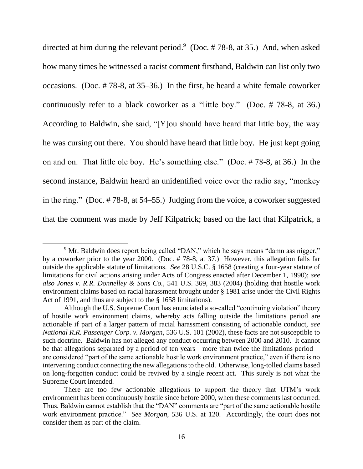directed at him during the relevant period. 9 (Doc. # 78-8, at 35.) And, when asked how many times he witnessed a racist comment firsthand, Baldwin can list only two occasions. (Doc. # 78-8, at 35–36.) In the first, he heard a white female coworker continuously refer to a black coworker as a "little boy." (Doc. # 78-8, at 36.) According to Baldwin, she said, "[Y]ou should have heard that little boy, the way he was cursing out there. You should have heard that little boy. He just kept going on and on. That little ole boy. He's something else." (Doc. # 78-8, at 36.) In the second instance, Baldwin heard an unidentified voice over the radio say, "monkey in the ring." (Doc. # 78-8, at 54–55.) Judging from the voice, a coworker suggested that the comment was made by Jeff Kilpatrick; based on the fact that Kilpatrick, a

l

<sup>&</sup>lt;sup>9</sup> Mr. Baldwin does report being called "DAN," which he says means "damn ass nigger," by a coworker prior to the year 2000. (Doc. # 78-8, at 37.) However, this allegation falls far outside the applicable statute of limitations. *See* 28 U.S.C. § 1658 (creating a four-year statute of limitations for civil actions arising under Acts of Congress enacted after December 1, 1990); *see also Jones v. R.R. Donnelley & Sons Co.*, 541 U.S. 369, 383 (2004) (holding that hostile work environment claims based on racial harassment brought under § 1981 arise under the Civil Rights Act of 1991, and thus are subject to the § 1658 limitations).

Although the U.S. Supreme Court has enunciated a so-called "continuing violation" theory of hostile work environment claims, whereby acts falling outside the limitations period are actionable if part of a larger pattern of racial harassment consisting of actionable conduct, *see National R.R. Passenger Corp. v. Morgan*, 536 U.S. 101 (2002), these facts are not susceptible to such doctrine. Baldwin has not alleged any conduct occurring between 2000 and 2010. It cannot be that allegations separated by a period of ten years—more than twice the limitations period are considered "part of the same actionable hostile work environment practice," even if there is no intervening conduct connecting the new allegations to the old. Otherwise, long-tolled claims based on long-forgotten conduct could be revived by a single recent act. This surely is not what the Supreme Court intended.

There are too few actionable allegations to support the theory that UTM's work environment has been continuously hostile since before 2000, when these comments last occurred. Thus, Baldwin cannot establish that the "DAN" comments are "part of the same actionable hostile work environment practice." *See Morgan*, 536 U.S. at 120. Accordingly, the court does not consider them as part of the claim.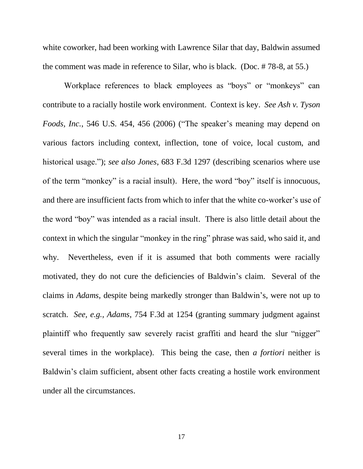white coworker, had been working with Lawrence Silar that day, Baldwin assumed the comment was made in reference to Silar, who is black. (Doc. # 78-8, at 55.)

Workplace references to black employees as "boys" or "monkeys" can contribute to a racially hostile work environment. Context is key. *See Ash v. Tyson Foods, Inc.*, 546 U.S. 454, 456 (2006) ("The speaker's meaning may depend on various factors including context, inflection, tone of voice, local custom, and historical usage."); *see also Jones*, 683 F.3d 1297 (describing scenarios where use of the term "monkey" is a racial insult). Here, the word "boy" itself is innocuous, and there are insufficient facts from which to infer that the white co-worker's use of the word "boy" was intended as a racial insult. There is also little detail about the context in which the singular "monkey in the ring" phrase was said, who said it, and why. Nevertheless, even if it is assumed that both comments were racially motivated, they do not cure the deficiencies of Baldwin's claim. Several of the claims in *Adams*, despite being markedly stronger than Baldwin's, were not up to scratch. *See, e.g., Adams*, 754 F.3d at 1254 (granting summary judgment against plaintiff who frequently saw severely racist graffiti and heard the slur "nigger" several times in the workplace). This being the case, then *a fortiori* neither is Baldwin's claim sufficient, absent other facts creating a hostile work environment under all the circumstances.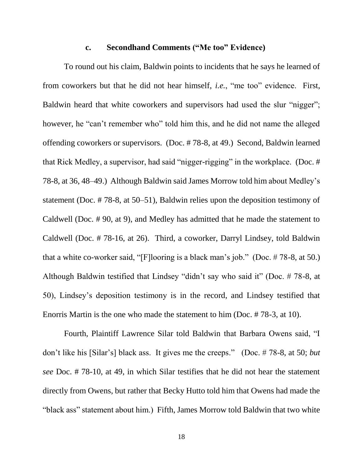#### **c. Secondhand Comments ("Me too" Evidence)**

To round out his claim, Baldwin points to incidents that he says he learned of from coworkers but that he did not hear himself, *i.e.*, "me too" evidence. First, Baldwin heard that white coworkers and supervisors had used the slur "nigger"; however, he "can't remember who" told him this, and he did not name the alleged offending coworkers or supervisors. (Doc. # 78-8, at 49.) Second, Baldwin learned that Rick Medley, a supervisor, had said "nigger-rigging" in the workplace. (Doc. # 78-8, at 36, 48–49.) Although Baldwin said James Morrow told him about Medley's statement (Doc. # 78-8, at 50–51), Baldwin relies upon the deposition testimony of Caldwell (Doc. # 90, at 9), and Medley has admitted that he made the statement to Caldwell (Doc. # 78-16, at 26). Third, a coworker, Darryl Lindsey, told Baldwin that a white co-worker said, "[F]looring is a black man's job." (Doc. # 78-8, at 50.) Although Baldwin testified that Lindsey "didn't say who said it" (Doc. # 78-8, at 50), Lindsey's deposition testimony is in the record, and Lindsey testified that Enorris Martin is the one who made the statement to him (Doc. # 78-3, at 10).

Fourth, Plaintiff Lawrence Silar told Baldwin that Barbara Owens said, "I don't like his [Silar's] black ass. It gives me the creeps." (Doc. # 78-8, at 50; *but see* Doc. # 78-10, at 49, in which Silar testifies that he did not hear the statement directly from Owens, but rather that Becky Hutto told him that Owens had made the "black ass" statement about him.) Fifth, James Morrow told Baldwin that two white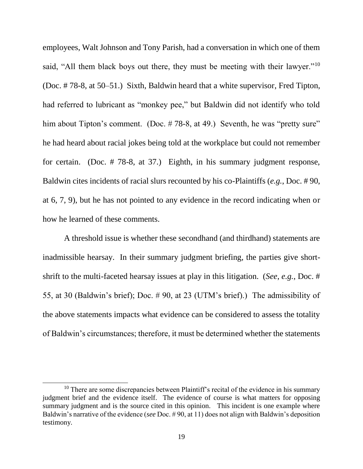employees, Walt Johnson and Tony Parish, had a conversation in which one of them said, "All them black boys out there, they must be meeting with their lawyer."<sup>10</sup> (Doc. # 78-8, at 50–51.) Sixth, Baldwin heard that a white supervisor, Fred Tipton, had referred to lubricant as "monkey pee," but Baldwin did not identify who told him about Tipton's comment. (Doc. #78-8, at 49.) Seventh, he was "pretty sure" he had heard about racial jokes being told at the workplace but could not remember for certain. (Doc. # 78-8, at 37.) Eighth, in his summary judgment response, Baldwin cites incidents of racial slurs recounted by his co-Plaintiffs (*e.g.*, Doc. # 90, at 6, 7, 9), but he has not pointed to any evidence in the record indicating when or how he learned of these comments.

A threshold issue is whether these secondhand (and thirdhand) statements are inadmissible hearsay. In their summary judgment briefing, the parties give shortshrift to the multi-faceted hearsay issues at play in this litigation. (*See*, *e.g.*, Doc. # 55, at 30 (Baldwin's brief); Doc. # 90, at 23 (UTM's brief).) The admissibility of the above statements impacts what evidence can be considered to assess the totality of Baldwin's circumstances; therefore, it must be determined whether the statements

 $\overline{a}$ 

 $10$  There are some discrepancies between Plaintiff's recital of the evidence in his summary judgment brief and the evidence itself. The evidence of course is what matters for opposing summary judgment and is the source cited in this opinion. This incident is one example where Baldwin's narrative of the evidence (*see* Doc. # 90, at 11) does not align with Baldwin's deposition testimony.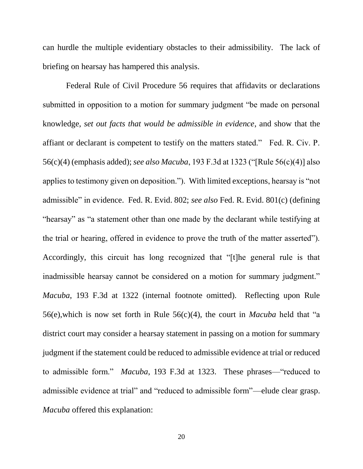can hurdle the multiple evidentiary obstacles to their admissibility. The lack of briefing on hearsay has hampered this analysis.

Federal Rule of Civil Procedure 56 requires that affidavits or declarations submitted in opposition to a motion for summary judgment "be made on personal knowledge, *set out facts that would be admissible in evidence*, and show that the affiant or declarant is competent to testify on the matters stated." Fed. R. Civ. P. 56(c)(4) (emphasis added); *see also Macuba*, 193 F.3d at 1323 ("[Rule 56(c)(4)] also applies to testimony given on deposition."). With limited exceptions, hearsay is "not admissible" in evidence. Fed. R. Evid. 802; *see also* Fed. R. Evid. 801(c) (defining "hearsay" as "a statement other than one made by the declarant while testifying at the trial or hearing, offered in evidence to prove the truth of the matter asserted"). Accordingly, this circuit has long recognized that "[t]he general rule is that inadmissible hearsay cannot be considered on a motion for summary judgment." *Macuba*, 193 F.3d at 1322 (internal footnote omitted). Reflecting upon Rule 56(e),which is now set forth in Rule 56(c)(4), the court in *Macuba* held that "a district court may consider a hearsay statement in passing on a motion for summary judgment if the statement could be reduced to admissible evidence at trial or reduced to admissible form." *Macuba*, 193 F.3d at 1323. These phrases—"reduced to admissible evidence at trial" and "reduced to admissible form"—elude clear grasp. *Macuba* offered this explanation: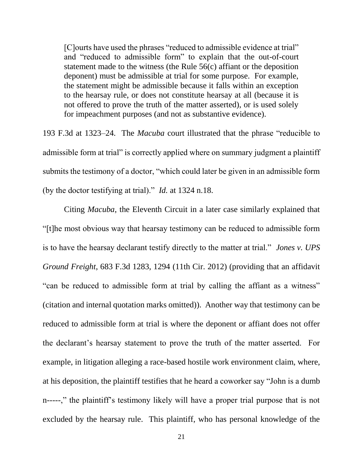[C]ourts have used the phrases "reduced to admissible evidence at trial" and "reduced to admissible form" to explain that the out-of-court statement made to the witness (the Rule 56(c) affiant or the deposition deponent) must be admissible at trial for some purpose. For example, the statement might be admissible because it falls within an exception to the hearsay rule, or does not constitute hearsay at all (because it is not offered to prove the truth of the matter asserted), or is used solely for impeachment purposes (and not as substantive evidence).

193 F.3d at 1323–24. The *Macuba* court illustrated that the phrase "reducible to admissible form at trial" is correctly applied where on summary judgment a plaintiff submits the testimony of a doctor, "which could later be given in an admissible form (by the doctor testifying at trial)." *Id.* at 1324 n.18.

Citing *Macuba*, the Eleventh Circuit in a later case similarly explained that "[t]he most obvious way that hearsay testimony can be reduced to admissible form is to have the hearsay declarant testify directly to the matter at trial." *Jones v. UPS Ground Freight*, 683 F.3d 1283, 1294 (11th Cir. 2012) (providing that an affidavit "can be reduced to admissible form at trial by calling the affiant as a witness" (citation and internal quotation marks omitted)). Another way that testimony can be reduced to admissible form at trial is where the deponent or affiant does not offer the declarant's hearsay statement to prove the truth of the matter asserted. For example, in litigation alleging a race-based hostile work environment claim, where, at his deposition, the plaintiff testifies that he heard a coworker say "John is a dumb n-----," the plaintiff's testimony likely will have a proper trial purpose that is not excluded by the hearsay rule. This plaintiff, who has personal knowledge of the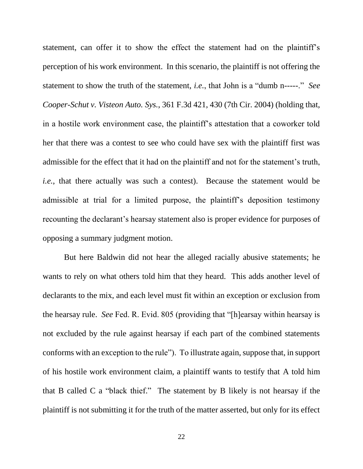statement, can offer it to show the effect the statement had on the plaintiff's perception of his work environment. In this scenario, the plaintiff is not offering the statement to show the truth of the statement, *i.e.*, that John is a "dumb n-----." *See Cooper-Schut v. Visteon Auto. Sys.*, 361 F.3d 421, 430 (7th Cir. 2004) (holding that, in a hostile work environment case, the plaintiff's attestation that a coworker told her that there was a contest to see who could have sex with the plaintiff first was admissible for the effect that it had on the plaintiff and not for the statement's truth, *i.e.*, that there actually was such a contest). Because the statement would be admissible at trial for a limited purpose, the plaintiff's deposition testimony recounting the declarant's hearsay statement also is proper evidence for purposes of opposing a summary judgment motion.

But here Baldwin did not hear the alleged racially abusive statements; he wants to rely on what others told him that they heard. This adds another level of declarants to the mix, and each level must fit within an exception or exclusion from the hearsay rule. *See* Fed. R. Evid. 805 (providing that "[h]earsay within hearsay is not excluded by the rule against hearsay if each part of the combined statements conforms with an exception to the rule"). To illustrate again, suppose that, in support of his hostile work environment claim, a plaintiff wants to testify that A told him that B called C a "black thief." The statement by B likely is not hearsay if the plaintiff is not submitting it for the truth of the matter asserted, but only for its effect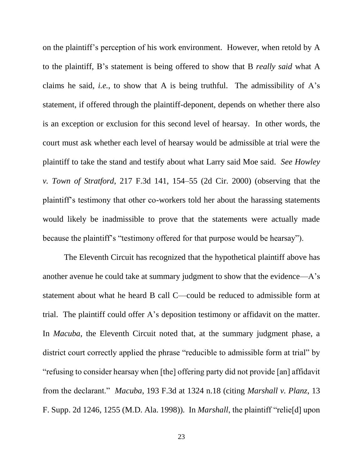on the plaintiff's perception of his work environment. However, when retold by A to the plaintiff, B's statement is being offered to show that B *really said* what A claims he said, *i.e.*, to show that A is being truthful. The admissibility of A's statement, if offered through the plaintiff-deponent, depends on whether there also is an exception or exclusion for this second level of hearsay. In other words, the court must ask whether each level of hearsay would be admissible at trial were the plaintiff to take the stand and testify about what Larry said Moe said. *See Howley v. Town of Stratford*, 217 F.3d 141, 154–55 (2d Cir. 2000) (observing that the plaintiff's testimony that other co-workers told her about the harassing statements would likely be inadmissible to prove that the statements were actually made because the plaintiff's "testimony offered for that purpose would be hearsay").

The Eleventh Circuit has recognized that the hypothetical plaintiff above has another avenue he could take at summary judgment to show that the evidence—A's statement about what he heard B call C—could be reduced to admissible form at trial. The plaintiff could offer A's deposition testimony or affidavit on the matter. In *Macuba*, the Eleventh Circuit noted that, at the summary judgment phase, a district court correctly applied the phrase "reducible to admissible form at trial" by "refusing to consider hearsay when [the] offering party did not provide [an] affidavit from the declarant." *Macuba*, 193 F.3d at 1324 n.18 (citing *Marshall v. Planz*, 13 F. Supp. 2d 1246, 1255 (M.D. Ala. 1998)). In *Marshall*, the plaintiff "relie[d] upon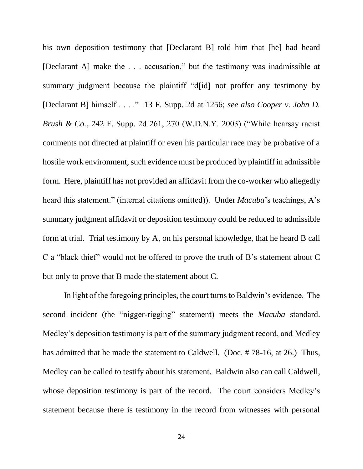his own deposition testimony that [Declarant B] told him that [he] had heard [Declarant A] make the . . . accusation," but the testimony was inadmissible at summary judgment because the plaintiff "d[id] not proffer any testimony by [Declarant B] himself . . . ." 13 F. Supp. 2d at 1256; *see also Cooper v. John D. Brush & Co.*, 242 F. Supp. 2d 261, 270 (W.D.N.Y. 2003) ("While hearsay racist comments not directed at plaintiff or even his particular race may be probative of a hostile work environment, such evidence must be produced by plaintiff in admissible form. Here, plaintiff has not provided an affidavit from the co-worker who allegedly heard this statement." (internal citations omitted)). Under *Macuba*'s teachings, A's summary judgment affidavit or deposition testimony could be reduced to admissible form at trial. Trial testimony by A, on his personal knowledge, that he heard B call C a "black thief" would not be offered to prove the truth of B's statement about C but only to prove that B made the statement about C.

In light of the foregoing principles, the court turns to Baldwin's evidence. The second incident (the "nigger-rigging" statement) meets the *Macuba* standard. Medley's deposition testimony is part of the summary judgment record, and Medley has admitted that he made the statement to Caldwell. (Doc. # 78-16, at 26.) Thus, Medley can be called to testify about his statement. Baldwin also can call Caldwell, whose deposition testimony is part of the record. The court considers Medley's statement because there is testimony in the record from witnesses with personal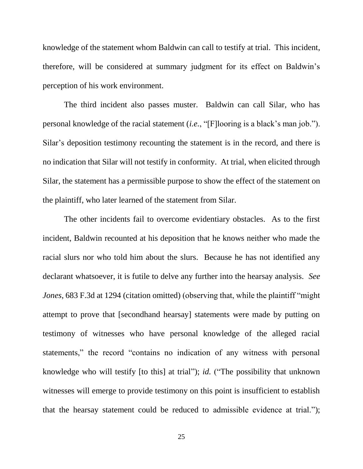knowledge of the statement whom Baldwin can call to testify at trial. This incident, therefore, will be considered at summary judgment for its effect on Baldwin's perception of his work environment.

The third incident also passes muster. Baldwin can call Silar, who has personal knowledge of the racial statement (*i.e.*, "[F]looring is a black's man job."). Silar's deposition testimony recounting the statement is in the record, and there is no indication that Silar will not testify in conformity. At trial, when elicited through Silar, the statement has a permissible purpose to show the effect of the statement on the plaintiff, who later learned of the statement from Silar.

The other incidents fail to overcome evidentiary obstacles. As to the first incident, Baldwin recounted at his deposition that he knows neither who made the racial slurs nor who told him about the slurs. Because he has not identified any declarant whatsoever, it is futile to delve any further into the hearsay analysis. *See Jones*, 683 F.3d at 1294 (citation omitted) (observing that, while the plaintiff "might" attempt to prove that [secondhand hearsay] statements were made by putting on testimony of witnesses who have personal knowledge of the alleged racial statements," the record "contains no indication of any witness with personal knowledge who will testify [to this] at trial"); *id.* ("The possibility that unknown witnesses will emerge to provide testimony on this point is insufficient to establish that the hearsay statement could be reduced to admissible evidence at trial.");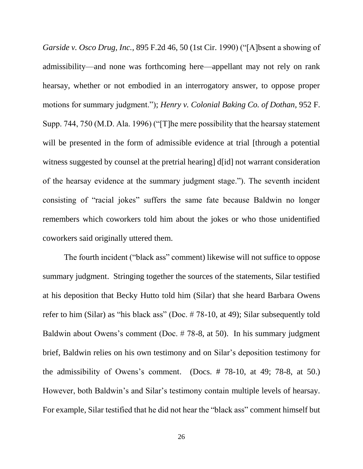*Garside v. Osco Drug, Inc.*, 895 F.2d 46, 50 (1st Cir. 1990) ("[A]bsent a showing of admissibility—and none was forthcoming here—appellant may not rely on rank hearsay, whether or not embodied in an interrogatory answer, to oppose proper motions for summary judgment."); *Henry v. Colonial Baking Co. of Dothan*, 952 F. Supp. 744, 750 (M.D. Ala. 1996) ("[T]he mere possibility that the hearsay statement will be presented in the form of admissible evidence at trial [through a potential witness suggested by counsel at the pretrial hearing] d[id] not warrant consideration of the hearsay evidence at the summary judgment stage."). The seventh incident consisting of "racial jokes" suffers the same fate because Baldwin no longer remembers which coworkers told him about the jokes or who those unidentified coworkers said originally uttered them.

The fourth incident ("black ass" comment) likewise will not suffice to oppose summary judgment. Stringing together the sources of the statements, Silar testified at his deposition that Becky Hutto told him (Silar) that she heard Barbara Owens refer to him (Silar) as "his black ass" (Doc. # 78-10, at 49); Silar subsequently told Baldwin about Owens's comment (Doc. # 78-8, at 50). In his summary judgment brief, Baldwin relies on his own testimony and on Silar's deposition testimony for the admissibility of Owens's comment. (Docs. # 78-10, at 49; 78-8, at 50.) However, both Baldwin's and Silar's testimony contain multiple levels of hearsay. For example, Silar testified that he did not hear the "black ass" comment himself but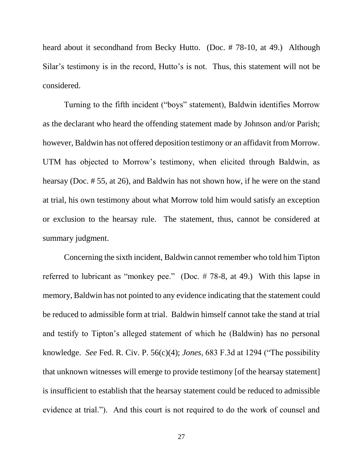heard about it secondhand from Becky Hutto. (Doc. #78-10, at 49.) Although Silar's testimony is in the record, Hutto's is not. Thus, this statement will not be considered.

Turning to the fifth incident ("boys" statement), Baldwin identifies Morrow as the declarant who heard the offending statement made by Johnson and/or Parish; however, Baldwin has not offered deposition testimony or an affidavit from Morrow. UTM has objected to Morrow's testimony, when elicited through Baldwin, as hearsay (Doc. # 55, at 26), and Baldwin has not shown how, if he were on the stand at trial, his own testimony about what Morrow told him would satisfy an exception or exclusion to the hearsay rule. The statement, thus, cannot be considered at summary judgment.

Concerning the sixth incident, Baldwin cannot remember who told him Tipton referred to lubricant as "monkey pee." (Doc. # 78-8, at 49.) With this lapse in memory, Baldwin has not pointed to any evidence indicating that the statement could be reduced to admissible form at trial. Baldwin himself cannot take the stand at trial and testify to Tipton's alleged statement of which he (Baldwin) has no personal knowledge. *See* Fed. R. Civ. P. 56(c)(4); *Jones*, 683 F.3d at 1294 ("The possibility that unknown witnesses will emerge to provide testimony [of the hearsay statement] is insufficient to establish that the hearsay statement could be reduced to admissible evidence at trial."). And this court is not required to do the work of counsel and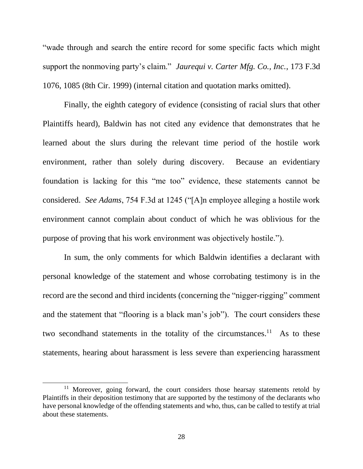"wade through and search the entire record for some specific facts which might support the nonmoving party's claim." *Jaurequi v. Carter Mfg. Co., Inc.*, 173 F.3d 1076, 1085 (8th Cir. 1999) (internal citation and quotation marks omitted).

Finally, the eighth category of evidence (consisting of racial slurs that other Plaintiffs heard), Baldwin has not cited any evidence that demonstrates that he learned about the slurs during the relevant time period of the hostile work environment, rather than solely during discovery. Because an evidentiary foundation is lacking for this "me too" evidence, these statements cannot be considered. *See Adams*, 754 F.3d at 1245 ("[A]n employee alleging a hostile work environment cannot complain about conduct of which he was oblivious for the purpose of proving that his work environment was objectively hostile.").

In sum, the only comments for which Baldwin identifies a declarant with personal knowledge of the statement and whose corrobating testimony is in the record are the second and third incidents (concerning the "nigger-rigging" comment and the statement that "flooring is a black man's job"). The court considers these two secondhand statements in the totality of the circumstances.<sup>11</sup> As to these statements, hearing about harassment is less severe than experiencing harassment

 $\overline{a}$ 

<sup>&</sup>lt;sup>11</sup> Moreover, going forward, the court considers those hearsay statements retold by Plaintiffs in their deposition testimony that are supported by the testimony of the declarants who have personal knowledge of the offending statements and who, thus, can be called to testify at trial about these statements.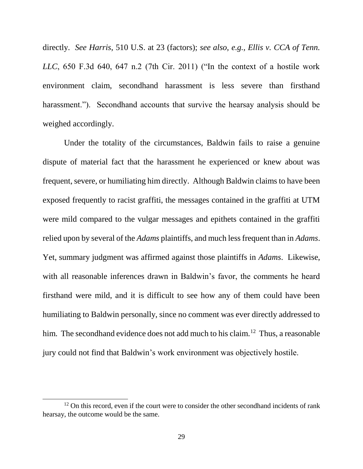directly. *See Harris*, 510 U.S. at 23 (factors); *see also, e.g., Ellis v. CCA of Tenn. LLC*, 650 F.3d 640, 647 n.2 (7th Cir. 2011) ("In the context of a hostile work environment claim, secondhand harassment is less severe than firsthand harassment."). Secondhand accounts that survive the hearsay analysis should be weighed accordingly.

Under the totality of the circumstances, Baldwin fails to raise a genuine dispute of material fact that the harassment he experienced or knew about was frequent, severe, or humiliating him directly. Although Baldwin claims to have been exposed frequently to racist graffiti, the messages contained in the graffiti at UTM were mild compared to the vulgar messages and epithets contained in the graffiti relied upon by several of the *Adams* plaintiffs, and much less frequent than in *Adams*. Yet, summary judgment was affirmed against those plaintiffs in *Adams*. Likewise, with all reasonable inferences drawn in Baldwin's favor, the comments he heard firsthand were mild, and it is difficult to see how any of them could have been humiliating to Baldwin personally, since no comment was ever directly addressed to him. The secondhand evidence does not add much to his claim.<sup>12</sup> Thus, a reasonable jury could not find that Baldwin's work environment was objectively hostile.

 $\overline{a}$ 

 $12$  On this record, even if the court were to consider the other secondhand incidents of rank hearsay, the outcome would be the same.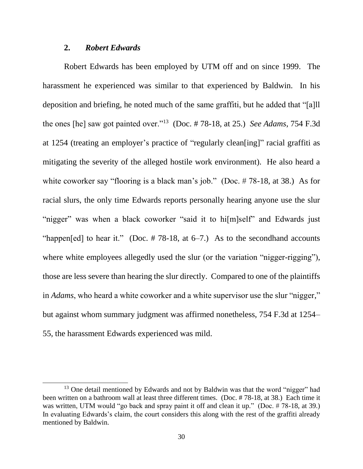## **2.** *Robert Edwards*

 $\overline{a}$ 

Robert Edwards has been employed by UTM off and on since 1999. The harassment he experienced was similar to that experienced by Baldwin. In his deposition and briefing, he noted much of the same graffiti, but he added that "[a]ll the ones [he] saw got painted over."<sup>13</sup> (Doc. # 78-18, at 25.) *See Adams*, 754 F.3d at 1254 (treating an employer's practice of "regularly clean[ing]" racial graffiti as mitigating the severity of the alleged hostile work environment). He also heard a white coworker say "flooring is a black man's job." (Doc. #78-18, at 38.) As for racial slurs, the only time Edwards reports personally hearing anyone use the slur "nigger" was when a black coworker "said it to hi[m]self" and Edwards just "happen[ed] to hear it." (Doc.  $# 78-18$ , at 6–7.) As to the secondhand accounts where white employees allegedly used the slur (or the variation "nigger-rigging"), those are less severe than hearing the slur directly. Compared to one of the plaintiffs in *Adams*, who heard a white coworker and a white supervisor use the slur "nigger," but against whom summary judgment was affirmed nonetheless, 754 F.3d at 1254– 55, the harassment Edwards experienced was mild.

<sup>&</sup>lt;sup>13</sup> One detail mentioned by Edwards and not by Baldwin was that the word "nigger" had been written on a bathroom wall at least three different times. (Doc. # 78-18, at 38.) Each time it was written, UTM would "go back and spray paint it off and clean it up." (Doc. #78-18, at 39.) In evaluating Edwards's claim, the court considers this along with the rest of the graffiti already mentioned by Baldwin.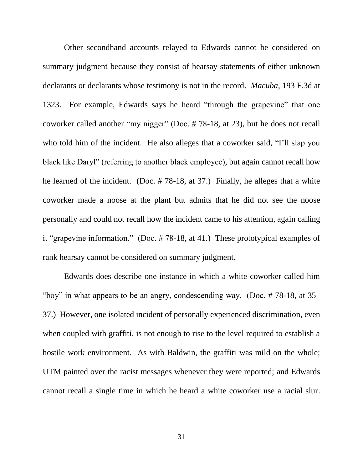Other secondhand accounts relayed to Edwards cannot be considered on summary judgment because they consist of hearsay statements of either unknown declarants or declarants whose testimony is not in the record. *Macuba*, 193 F.3d at 1323. For example, Edwards says he heard "through the grapevine" that one coworker called another "my nigger" (Doc. # 78-18, at 23), but he does not recall who told him of the incident. He also alleges that a coworker said, "I'll slap you black like Daryl" (referring to another black employee), but again cannot recall how he learned of the incident. (Doc. # 78-18, at 37.) Finally, he alleges that a white coworker made a noose at the plant but admits that he did not see the noose personally and could not recall how the incident came to his attention, again calling it "grapevine information." (Doc. # 78-18, at 41.) These prototypical examples of rank hearsay cannot be considered on summary judgment.

Edwards does describe one instance in which a white coworker called him "boy" in what appears to be an angry, condescending way. (Doc. # 78-18, at 35– 37.) However, one isolated incident of personally experienced discrimination, even when coupled with graffiti, is not enough to rise to the level required to establish a hostile work environment. As with Baldwin, the graffiti was mild on the whole; UTM painted over the racist messages whenever they were reported; and Edwards cannot recall a single time in which he heard a white coworker use a racial slur.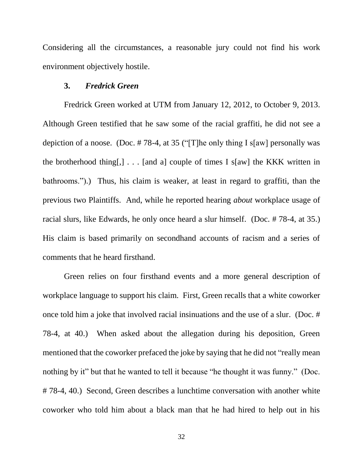Considering all the circumstances, a reasonable jury could not find his work environment objectively hostile.

### **3.** *Fredrick Green*

Fredrick Green worked at UTM from January 12, 2012, to October 9, 2013. Although Green testified that he saw some of the racial graffiti, he did not see a depiction of a noose. (Doc. # 78-4, at 35 ("[T]he only thing I s[aw] personally was the brotherhood thing[,]  $\ldots$  [and a] couple of times I s[aw] the KKK written in bathrooms.").) Thus, his claim is weaker, at least in regard to graffiti, than the previous two Plaintiffs. And, while he reported hearing *about* workplace usage of racial slurs, like Edwards, he only once heard a slur himself. (Doc. # 78-4, at 35.) His claim is based primarily on secondhand accounts of racism and a series of comments that he heard firsthand.

Green relies on four firsthand events and a more general description of workplace language to support his claim. First, Green recalls that a white coworker once told him a joke that involved racial insinuations and the use of a slur. (Doc. # 78-4, at 40.) When asked about the allegation during his deposition, Green mentioned that the coworker prefaced the joke by saying that he did not "really mean nothing by it" but that he wanted to tell it because "he thought it was funny." (Doc. # 78-4, 40.) Second, Green describes a lunchtime conversation with another white coworker who told him about a black man that he had hired to help out in his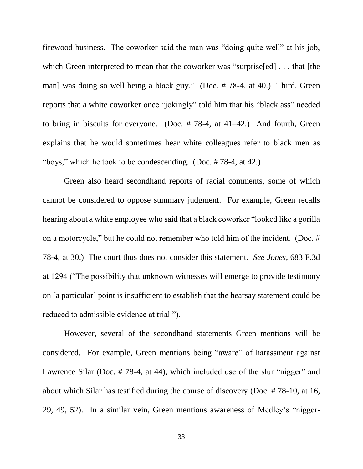firewood business. The coworker said the man was "doing quite well" at his job, which Green interpreted to mean that the coworker was "surprise[ed] . . . that [the man] was doing so well being a black guy." (Doc. # 78-4, at 40.) Third, Green reports that a white coworker once "jokingly" told him that his "black ass" needed to bring in biscuits for everyone. (Doc. # 78-4, at 41–42.) And fourth, Green explains that he would sometimes hear white colleagues refer to black men as "boys," which he took to be condescending. (Doc. # 78-4, at 42.)

Green also heard secondhand reports of racial comments, some of which cannot be considered to oppose summary judgment. For example, Green recalls hearing about a white employee who said that a black coworker "looked like a gorilla on a motorcycle," but he could not remember who told him of the incident. (Doc. # 78-4, at 30.) The court thus does not consider this statement. *See Jones*, 683 F.3d at 1294 ("The possibility that unknown witnesses will emerge to provide testimony on [a particular] point is insufficient to establish that the hearsay statement could be reduced to admissible evidence at trial.").

However, several of the secondhand statements Green mentions will be considered. For example, Green mentions being "aware" of harassment against Lawrence Silar (Doc. #78-4, at 44), which included use of the slur "nigger" and about which Silar has testified during the course of discovery (Doc. # 78-10, at 16, 29, 49, 52). In a similar vein, Green mentions awareness of Medley's "nigger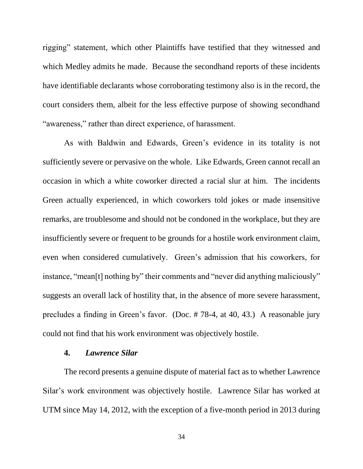rigging" statement, which other Plaintiffs have testified that they witnessed and which Medley admits he made. Because the secondhand reports of these incidents have identifiable declarants whose corroborating testimony also is in the record, the court considers them, albeit for the less effective purpose of showing secondhand "awareness," rather than direct experience, of harassment.

As with Baldwin and Edwards, Green's evidence in its totality is not sufficiently severe or pervasive on the whole. Like Edwards, Green cannot recall an occasion in which a white coworker directed a racial slur at him. The incidents Green actually experienced, in which coworkers told jokes or made insensitive remarks, are troublesome and should not be condoned in the workplace, but they are insufficiently severe or frequent to be grounds for a hostile work environment claim, even when considered cumulatively. Green's admission that his coworkers, for instance, "mean[t] nothing by" their comments and "never did anything maliciously" suggests an overall lack of hostility that, in the absence of more severe harassment, precludes a finding in Green's favor. (Doc. # 78-4, at 40, 43.) A reasonable jury could not find that his work environment was objectively hostile.

## **4.** *Lawrence Silar*

The record presents a genuine dispute of material fact as to whether Lawrence Silar's work environment was objectively hostile. Lawrence Silar has worked at UTM since May 14, 2012, with the exception of a five-month period in 2013 during

34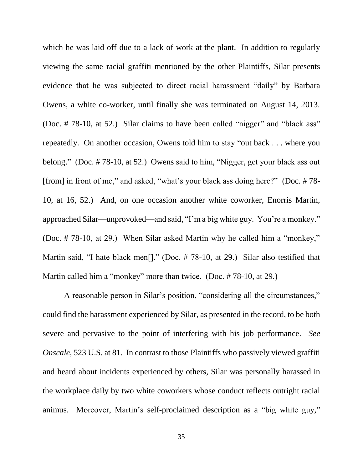which he was laid off due to a lack of work at the plant. In addition to regularly viewing the same racial graffiti mentioned by the other Plaintiffs, Silar presents evidence that he was subjected to direct racial harassment "daily" by Barbara Owens, a white co-worker, until finally she was terminated on August 14, 2013. (Doc. # 78-10, at 52.) Silar claims to have been called "nigger" and "black ass" repeatedly. On another occasion, Owens told him to stay "out back . . . where you belong." (Doc. # 78-10, at 52.) Owens said to him, "Nigger, get your black ass out [from] in front of me," and asked, "what's your black ass doing here?" (Doc. # 78- 10, at 16, 52.) And, on one occasion another white coworker, Enorris Martin, approached Silar—unprovoked—and said, "I'm a big white guy. You're a monkey." (Doc. # 78-10, at 29.) When Silar asked Martin why he called him a "monkey," Martin said, "I hate black men<sup>[]</sup>." (Doc. #78-10, at 29.) Silar also testified that Martin called him a "monkey" more than twice. (Doc. # 78-10, at 29.)

A reasonable person in Silar's position, "considering all the circumstances," could find the harassment experienced by Silar, as presented in the record, to be both severe and pervasive to the point of interfering with his job performance. *See Onscale*, 523 U.S. at 81. In contrast to those Plaintiffs who passively viewed graffiti and heard about incidents experienced by others, Silar was personally harassed in the workplace daily by two white coworkers whose conduct reflects outright racial animus. Moreover, Martin's self-proclaimed description as a "big white guy,"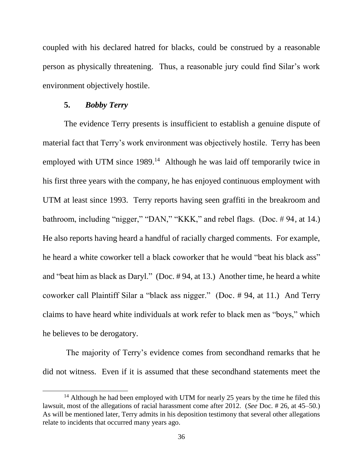coupled with his declared hatred for blacks, could be construed by a reasonable person as physically threatening. Thus, a reasonable jury could find Silar's work environment objectively hostile.

## **5.** *Bobby Terry*

 $\overline{a}$ 

The evidence Terry presents is insufficient to establish a genuine dispute of material fact that Terry's work environment was objectively hostile. Terry has been employed with UTM since 1989.<sup>14</sup> Although he was laid off temporarily twice in his first three years with the company, he has enjoyed continuous employment with UTM at least since 1993. Terry reports having seen graffiti in the breakroom and bathroom, including "nigger," "DAN," "KKK," and rebel flags. (Doc. # 94, at 14.) He also reports having heard a handful of racially charged comments. For example, he heard a white coworker tell a black coworker that he would "beat his black ass" and "beat him as black as Daryl." (Doc. # 94, at 13.) Another time, he heard a white coworker call Plaintiff Silar a "black ass nigger." (Doc. # 94, at 11.) And Terry claims to have heard white individuals at work refer to black men as "boys," which he believes to be derogatory.

The majority of Terry's evidence comes from secondhand remarks that he did not witness. Even if it is assumed that these secondhand statements meet the

<sup>&</sup>lt;sup>14</sup> Although he had been employed with UTM for nearly 25 years by the time he filed this lawsuit, most of the allegations of racial harassment come after 2012. (*See* Doc. # 26, at 45–50.) As will be mentioned later, Terry admits in his deposition testimony that several other allegations relate to incidents that occurred many years ago.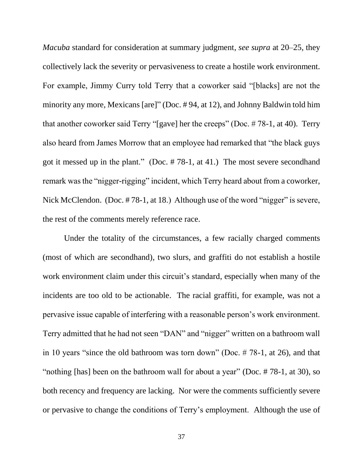*Macuba* standard for consideration at summary judgment, *see supra* at 20–25, they collectively lack the severity or pervasiveness to create a hostile work environment. For example, Jimmy Curry told Terry that a coworker said "[blacks] are not the minority any more, Mexicans [are]" (Doc. # 94, at 12), and Johnny Baldwin told him that another coworker said Terry "[gave] her the creeps" (Doc. # 78-1, at 40). Terry also heard from James Morrow that an employee had remarked that "the black guys got it messed up in the plant." (Doc. # 78-1, at 41.) The most severe secondhand remark was the "nigger-rigging" incident, which Terry heard about from a coworker, Nick McClendon. (Doc. #78-1, at 18.) Although use of the word "nigger" is severe, the rest of the comments merely reference race.

Under the totality of the circumstances, a few racially charged comments (most of which are secondhand), two slurs, and graffiti do not establish a hostile work environment claim under this circuit's standard, especially when many of the incidents are too old to be actionable. The racial graffiti, for example, was not a pervasive issue capable of interfering with a reasonable person's work environment. Terry admitted that he had not seen "DAN" and "nigger" written on a bathroom wall in 10 years "since the old bathroom was torn down" (Doc. # 78-1, at 26), and that "nothing [has] been on the bathroom wall for about a year" (Doc. # 78-1, at 30), so both recency and frequency are lacking. Nor were the comments sufficiently severe or pervasive to change the conditions of Terry's employment. Although the use of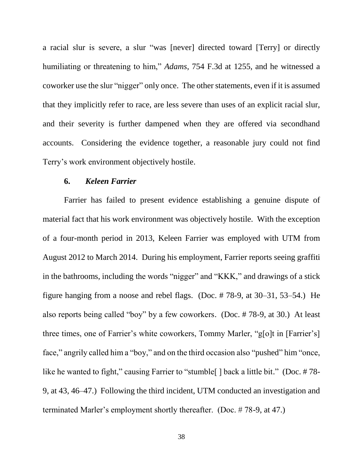a racial slur is severe, a slur "was [never] directed toward [Terry] or directly humiliating or threatening to him," *Adams*, 754 F.3d at 1255, and he witnessed a coworker use the slur "nigger" only once. The other statements, even if it is assumed that they implicitly refer to race, are less severe than uses of an explicit racial slur, and their severity is further dampened when they are offered via secondhand accounts. Considering the evidence together, a reasonable jury could not find Terry's work environment objectively hostile.

## **6.** *Keleen Farrier*

Farrier has failed to present evidence establishing a genuine dispute of material fact that his work environment was objectively hostile. With the exception of a four-month period in 2013, Keleen Farrier was employed with UTM from August 2012 to March 2014. During his employment, Farrier reports seeing graffiti in the bathrooms, including the words "nigger" and "KKK," and drawings of a stick figure hanging from a noose and rebel flags. (Doc. # 78-9, at 30–31, 53–54.) He also reports being called "boy" by a few coworkers. (Doc. # 78-9, at 30.) At least three times, one of Farrier's white coworkers, Tommy Marler, "g[o]t in [Farrier's] face," angrily called him a "boy," and on the third occasion also "pushed" him "once, like he wanted to fight," causing Farrier to "stumble | | back a little bit." (Doc. #78-9, at 43, 46–47.) Following the third incident, UTM conducted an investigation and terminated Marler's employment shortly thereafter. (Doc. # 78-9, at 47.)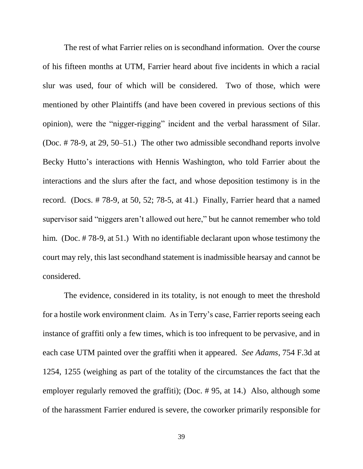The rest of what Farrier relies on is secondhand information. Over the course of his fifteen months at UTM, Farrier heard about five incidents in which a racial slur was used, four of which will be considered. Two of those, which were mentioned by other Plaintiffs (and have been covered in previous sections of this opinion), were the "nigger-rigging" incident and the verbal harassment of Silar. (Doc. # 78-9, at 29, 50–51.) The other two admissible secondhand reports involve Becky Hutto's interactions with Hennis Washington, who told Farrier about the interactions and the slurs after the fact, and whose deposition testimony is in the record. (Docs. # 78-9, at 50, 52; 78-5, at 41.) Finally, Farrier heard that a named supervisor said "niggers aren't allowed out here," but he cannot remember who told him. (Doc. #78-9, at 51.) With no identifiable declarant upon whose testimony the court may rely, this last secondhand statement is inadmissible hearsay and cannot be considered.

The evidence, considered in its totality, is not enough to meet the threshold for a hostile work environment claim. As in Terry's case, Farrier reports seeing each instance of graffiti only a few times, which is too infrequent to be pervasive, and in each case UTM painted over the graffiti when it appeared. *See Adams*, 754 F.3d at 1254, 1255 (weighing as part of the totality of the circumstances the fact that the employer regularly removed the graffiti); (Doc. # 95, at 14.) Also, although some of the harassment Farrier endured is severe, the coworker primarily responsible for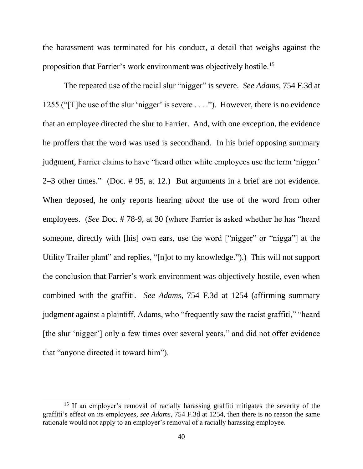the harassment was terminated for his conduct, a detail that weighs against the proposition that Farrier's work environment was objectively hostile.<sup>15</sup>

The repeated use of the racial slur "nigger" is severe. *See Adams*, 754 F.3d at 1255 ("[T]he use of the slur 'nigger' is severe . . . ."). However, there is no evidence that an employee directed the slur to Farrier. And, with one exception, the evidence he proffers that the word was used is secondhand. In his brief opposing summary judgment, Farrier claims to have "heard other white employees use the term 'nigger' 2–3 other times." (Doc. # 95, at 12.) But arguments in a brief are not evidence. When deposed, he only reports hearing *about* the use of the word from other employees. (*See* Doc. # 78-9, at 30 (where Farrier is asked whether he has "heard someone, directly with [his] own ears, use the word ["nigger" or "nigga"] at the Utility Trailer plant" and replies, "[n]ot to my knowledge.").) This will not support the conclusion that Farrier's work environment was objectively hostile, even when combined with the graffiti. *See Adams*, 754 F.3d at 1254 (affirming summary judgment against a plaintiff, Adams, who "frequently saw the racist graffiti," "heard [the slur 'nigger'] only a few times over several years," and did not offer evidence that "anyone directed it toward him").

 $\overline{a}$ 

<sup>&</sup>lt;sup>15</sup> If an employer's removal of racially harassing graffiti mitigates the severity of the graffiti's effect on its employees, *see Adams*, 754 F.3d at 1254, then there is no reason the same rationale would not apply to an employer's removal of a racially harassing employee.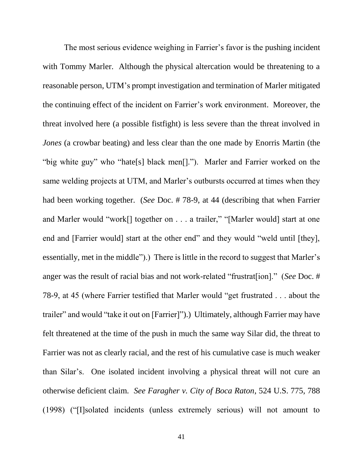The most serious evidence weighing in Farrier's favor is the pushing incident with Tommy Marler. Although the physical altercation would be threatening to a reasonable person, UTM's prompt investigation and termination of Marler mitigated the continuing effect of the incident on Farrier's work environment. Moreover, the threat involved here (a possible fistfight) is less severe than the threat involved in *Jones* (a crowbar beating) and less clear than the one made by Enorris Martin (the "big white guy" who "hate[s] black men[]."). Marler and Farrier worked on the same welding projects at UTM, and Marler's outbursts occurred at times when they had been working together. (*See* Doc. # 78-9, at 44 (describing that when Farrier and Marler would "work[] together on . . . a trailer," "[Marler would] start at one end and [Farrier would] start at the other end" and they would "weld until [they], essentially, met in the middle").) There is little in the record to suggest that Marler's anger was the result of racial bias and not work-related "frustrat[ion]." (*See* Doc. # 78-9, at 45 (where Farrier testified that Marler would "get frustrated . . . about the trailer" and would "take it out on [Farrier]").) Ultimately, although Farrier may have felt threatened at the time of the push in much the same way Silar did, the threat to Farrier was not as clearly racial, and the rest of his cumulative case is much weaker than Silar's. One isolated incident involving a physical threat will not cure an otherwise deficient claim. *See Faragher v. City of Boca Raton*, 524 U.S. 775, 788 (1998) ("[I]solated incidents (unless extremely serious) will not amount to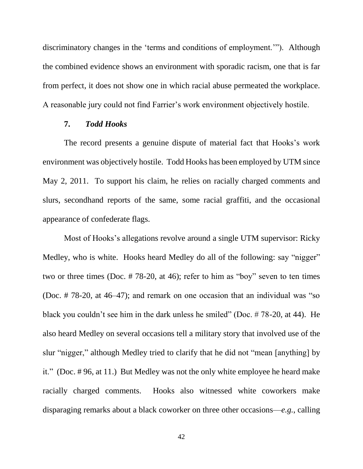discriminatory changes in the 'terms and conditions of employment.'"). Although the combined evidence shows an environment with sporadic racism, one that is far from perfect, it does not show one in which racial abuse permeated the workplace. A reasonable jury could not find Farrier's work environment objectively hostile.

### **7.** *Todd Hooks*

The record presents a genuine dispute of material fact that Hooks's work environment was objectively hostile. Todd Hooks has been employed by UTM since May 2, 2011. To support his claim, he relies on racially charged comments and slurs, secondhand reports of the same, some racial graffiti, and the occasional appearance of confederate flags.

Most of Hooks's allegations revolve around a single UTM supervisor: Ricky Medley, who is white. Hooks heard Medley do all of the following: say "nigger" two or three times (Doc. # 78-20, at 46); refer to him as "boy" seven to ten times (Doc. # 78-20, at 46–47); and remark on one occasion that an individual was "so black you couldn't see him in the dark unless he smiled" (Doc. # 78-20, at 44). He also heard Medley on several occasions tell a military story that involved use of the slur "nigger," although Medley tried to clarify that he did not "mean [anything] by it." (Doc. # 96, at 11.) But Medley was not the only white employee he heard make racially charged comments. Hooks also witnessed white coworkers make disparaging remarks about a black coworker on three other occasions––*e.g.*, calling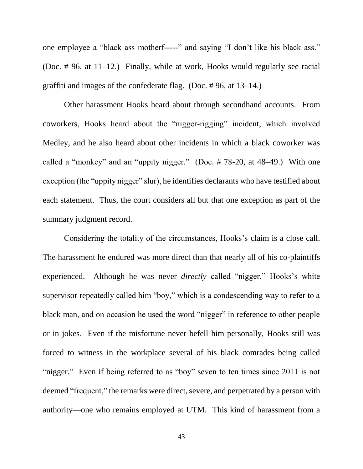one employee a "black ass motherf-----" and saying "I don't like his black ass." (Doc. # 96, at 11–12.) Finally, while at work, Hooks would regularly see racial graffiti and images of the confederate flag. (Doc. # 96, at 13–14.)

Other harassment Hooks heard about through secondhand accounts. From coworkers, Hooks heard about the "nigger-rigging" incident, which involved Medley, and he also heard about other incidents in which a black coworker was called a "monkey" and an "uppity nigger." (Doc. # 78-20, at 48–49.) With one exception (the "uppity nigger" slur), he identifies declarants who have testified about each statement. Thus, the court considers all but that one exception as part of the summary judgment record.

Considering the totality of the circumstances, Hooks's claim is a close call. The harassment he endured was more direct than that nearly all of his co-plaintiffs experienced. Although he was never *directly* called "nigger," Hooks's white supervisor repeatedly called him "boy," which is a condescending way to refer to a black man, and on occasion he used the word "nigger" in reference to other people or in jokes. Even if the misfortune never befell him personally, Hooks still was forced to witness in the workplace several of his black comrades being called "nigger." Even if being referred to as "boy" seven to ten times since 2011 is not deemed "frequent," the remarks were direct, severe, and perpetrated by a person with authority—one who remains employed at UTM. This kind of harassment from a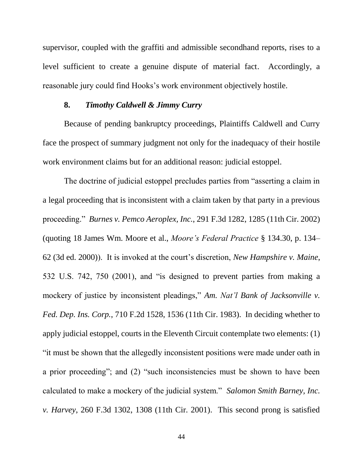supervisor, coupled with the graffiti and admissible secondhand reports, rises to a level sufficient to create a genuine dispute of material fact. Accordingly, a reasonable jury could find Hooks's work environment objectively hostile.

## **8.** *Timothy Caldwell & Jimmy Curry*

Because of pending bankruptcy proceedings, Plaintiffs Caldwell and Curry face the prospect of summary judgment not only for the inadequacy of their hostile work environment claims but for an additional reason: judicial estoppel.

The doctrine of judicial estoppel precludes parties from "asserting a claim in a legal proceeding that is inconsistent with a claim taken by that party in a previous proceeding." *Burnes v. Pemco Aeroplex, Inc.*, 291 F.3d 1282, 1285 (11th Cir. 2002) (quoting 18 James Wm. Moore et al., *Moore's Federal Practice* § 134.30, p. 134– 62 (3d ed. 2000)). It is invoked at the court's discretion, *New Hampshire v. Maine*, 532 U.S. 742, 750 (2001), and "is designed to prevent parties from making a mockery of justice by inconsistent pleadings," *Am. Nat'l Bank of Jacksonville v. Fed. Dep. Ins. Corp.*, 710 F.2d 1528, 1536 (11th Cir. 1983). In deciding whether to apply judicial estoppel, courts in the Eleventh Circuit contemplate two elements: (1) "it must be shown that the allegedly inconsistent positions were made under oath in a prior proceeding"; and (2) "such inconsistencies must be shown to have been calculated to make a mockery of the judicial system." *Salomon Smith Barney, Inc. v. Harvey*, 260 F.3d 1302, 1308 (11th Cir. 2001). This second prong is satisfied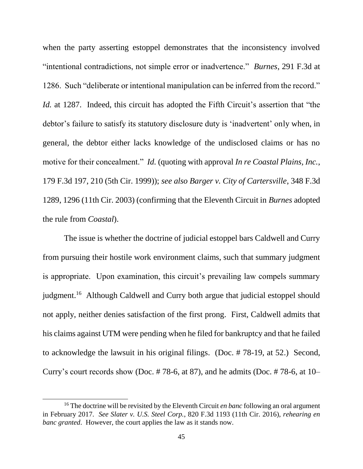when the party asserting estoppel demonstrates that the inconsistency involved "intentional contradictions, not simple error or inadvertence." *Burnes*, 291 F.3d at 1286. Such "deliberate or intentional manipulation can be inferred from the record." *Id.* at 1287. Indeed, this circuit has adopted the Fifth Circuit's assertion that "the debtor's failure to satisfy its statutory disclosure duty is 'inadvertent' only when, in general, the debtor either lacks knowledge of the undisclosed claims or has no motive for their concealment." *Id.* (quoting with approval *In re Coastal Plains, Inc.*, 179 F.3d 197, 210 (5th Cir. 1999)); *see also Barger v. City of Cartersville*, 348 F.3d 1289, 1296 (11th Cir. 2003) (confirming that the Eleventh Circuit in *Burnes* adopted the rule from *Coastal*).

The issue is whether the doctrine of judicial estoppel bars Caldwell and Curry from pursuing their hostile work environment claims, such that summary judgment is appropriate. Upon examination, this circuit's prevailing law compels summary judgment.<sup>16</sup> Although Caldwell and Curry both argue that judicial estoppel should not apply, neither denies satisfaction of the first prong. First, Caldwell admits that his claims against UTM were pending when he filed for bankruptcy and that he failed to acknowledge the lawsuit in his original filings. (Doc. # 78-19, at 52.) Second, Curry's court records show (Doc.  $\# 78$ -6, at 87), and he admits (Doc.  $\# 78$ -6, at 10–

 $\overline{a}$ 

<sup>16</sup> The doctrine will be revisited by the Eleventh Circuit *en banc* following an oral argument in February 2017. *See Slater v. U.S. Steel Corp.*, 820 F.3d 1193 (11th Cir. 2016), *rehearing en banc granted*. However, the court applies the law as it stands now.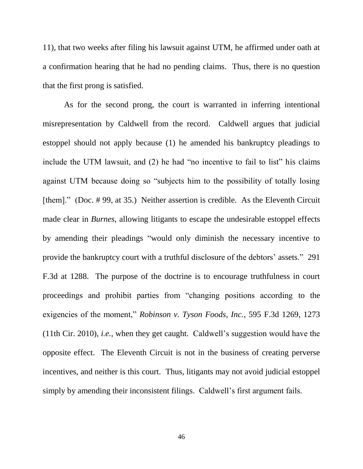11), that two weeks after filing his lawsuit against UTM, he affirmed under oath at a confirmation hearing that he had no pending claims. Thus, there is no question that the first prong is satisfied.

As for the second prong, the court is warranted in inferring intentional misrepresentation by Caldwell from the record. Caldwell argues that judicial estoppel should not apply because (1) he amended his bankruptcy pleadings to include the UTM lawsuit, and (2) he had "no incentive to fail to list" his claims against UTM because doing so "subjects him to the possibility of totally losing [them]." (Doc. #99, at 35.) Neither assertion is credible. As the Eleventh Circuit made clear in *Burnes*, allowing litigants to escape the undesirable estoppel effects by amending their pleadings "would only diminish the necessary incentive to provide the bankruptcy court with a truthful disclosure of the debtors' assets." 291 F.3d at 1288. The purpose of the doctrine is to encourage truthfulness in court proceedings and prohibit parties from "changing positions according to the exigencies of the moment," *Robinson v. Tyson Foods, Inc.*, 595 F.3d 1269, 1273 (11th Cir. 2010), *i.e.*, when they get caught. Caldwell's suggestion would have the opposite effect. The Eleventh Circuit is not in the business of creating perverse incentives, and neither is this court. Thus, litigants may not avoid judicial estoppel simply by amending their inconsistent filings. Caldwell's first argument fails.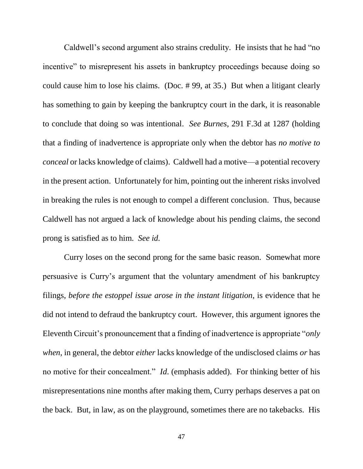Caldwell's second argument also strains credulity. He insists that he had "no incentive" to misrepresent his assets in bankruptcy proceedings because doing so could cause him to lose his claims. (Doc. # 99, at 35.) But when a litigant clearly has something to gain by keeping the bankruptcy court in the dark, it is reasonable to conclude that doing so was intentional. *See Burnes*, 291 F.3d at 1287 (holding that a finding of inadvertence is appropriate only when the debtor has *no motive to conceal* or lacks knowledge of claims). Caldwell had a motive—a potential recovery in the present action. Unfortunately for him, pointing out the inherent risks involved in breaking the rules is not enough to compel a different conclusion. Thus, because Caldwell has not argued a lack of knowledge about his pending claims, the second prong is satisfied as to him. *See id.*

Curry loses on the second prong for the same basic reason. Somewhat more persuasive is Curry's argument that the voluntary amendment of his bankruptcy filings, *before the estoppel issue arose in the instant litigation*, is evidence that he did not intend to defraud the bankruptcy court. However, this argument ignores the Eleventh Circuit's pronouncement that a finding of inadvertence is appropriate "*only when*, in general, the debtor *either* lacks knowledge of the undisclosed claims *or* has no motive for their concealment." *Id*. (emphasis added). For thinking better of his misrepresentations nine months after making them, Curry perhaps deserves a pat on the back. But, in law, as on the playground, sometimes there are no takebacks. His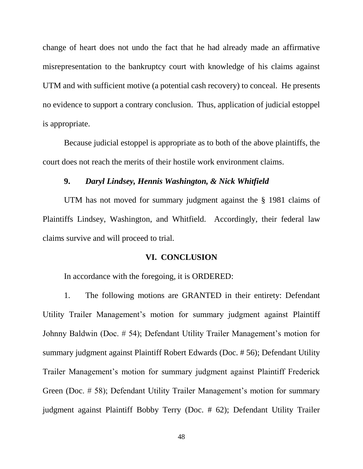change of heart does not undo the fact that he had already made an affirmative misrepresentation to the bankruptcy court with knowledge of his claims against UTM and with sufficient motive (a potential cash recovery) to conceal. He presents no evidence to support a contrary conclusion. Thus, application of judicial estoppel is appropriate.

Because judicial estoppel is appropriate as to both of the above plaintiffs, the court does not reach the merits of their hostile work environment claims.

## **9.** *Daryl Lindsey, Hennis Washington, & Nick Whitfield*

UTM has not moved for summary judgment against the § 1981 claims of Plaintiffs Lindsey, Washington, and Whitfield. Accordingly, their federal law claims survive and will proceed to trial.

## **VI. CONCLUSION**

In accordance with the foregoing, it is ORDERED:

1. The following motions are GRANTED in their entirety: Defendant Utility Trailer Management's motion for summary judgment against Plaintiff Johnny Baldwin (Doc. # 54); Defendant Utility Trailer Management's motion for summary judgment against Plaintiff Robert Edwards (Doc. # 56); Defendant Utility Trailer Management's motion for summary judgment against Plaintiff Frederick Green (Doc. # 58); Defendant Utility Trailer Management's motion for summary judgment against Plaintiff Bobby Terry (Doc. # 62); Defendant Utility Trailer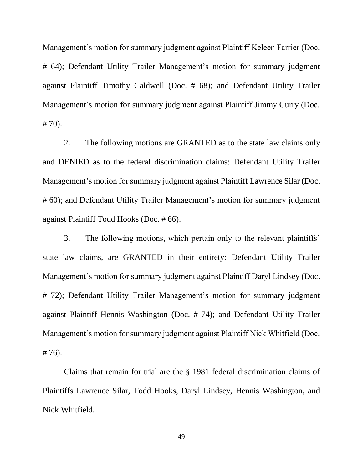Management's motion for summary judgment against Plaintiff Keleen Farrier (Doc. # 64); Defendant Utility Trailer Management's motion for summary judgment against Plaintiff Timothy Caldwell (Doc. # 68); and Defendant Utility Trailer Management's motion for summary judgment against Plaintiff Jimmy Curry (Doc. # 70).

2. The following motions are GRANTED as to the state law claims only and DENIED as to the federal discrimination claims: Defendant Utility Trailer Management's motion for summary judgment against Plaintiff Lawrence Silar (Doc. # 60); and Defendant Utility Trailer Management's motion for summary judgment against Plaintiff Todd Hooks (Doc. # 66).

3. The following motions, which pertain only to the relevant plaintiffs' state law claims, are GRANTED in their entirety: Defendant Utility Trailer Management's motion for summary judgment against Plaintiff Daryl Lindsey (Doc. # 72); Defendant Utility Trailer Management's motion for summary judgment against Plaintiff Hennis Washington (Doc. # 74); and Defendant Utility Trailer Management's motion for summary judgment against Plaintiff Nick Whitfield (Doc. # 76).

Claims that remain for trial are the § 1981 federal discrimination claims of Plaintiffs Lawrence Silar, Todd Hooks, Daryl Lindsey, Hennis Washington, and Nick Whitfield.

49